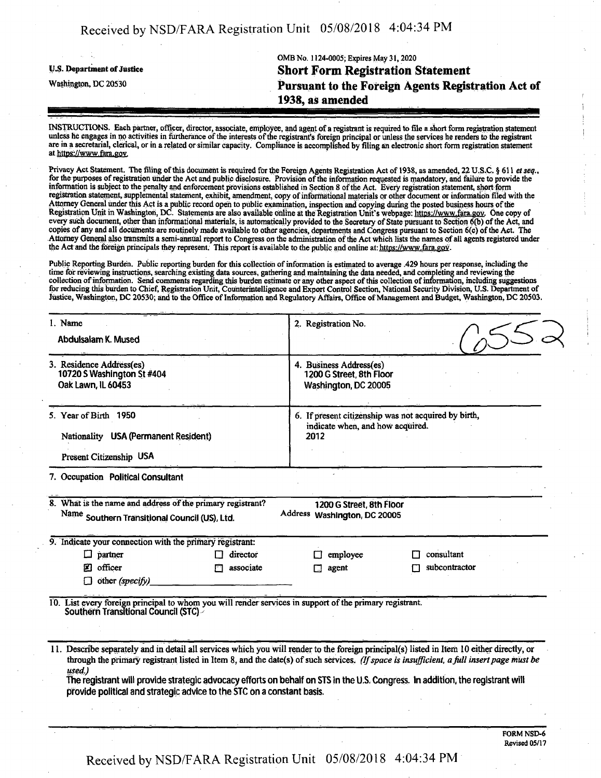## OMB No. 1124-0005; Expires May 31,2020 **y.s. Department ofjustice Short Form Registration Statement** Washington, dc <sup>20530</sup> **Pursuant to the Foreign Agents Registration Act of 1938, as amended**

INSTRUCTIONS. Each partner, officer, director, associate, employee, and agent ofa registrant is required to file a.short form registration statement unless he engages in no activities in furtherance of the interests of the registrant's foreign principal or unless the services he renders to the registrant are in a secretarial, clerical, or in a related orsimilar capacity. Compliance is accomplished by filing an electronic short form registration statement at https://www.fara.pov.

Privacy Act Statement. The filing of this document is required for the Foreign Agents Registration Act of 1938, as amended, 22 U.S.C. § 611 et seq., for the purposes of registration under the Act and public disclosure. Provision of the information requested is mandatory, and failure to provide the information is subject to the penalty and enforcement provisions established in Section 8 ofthe Act. Every registration statement, short form registration statement, supplemental statement, exhibit, amendment, copy of informational materials or other document or information filed with the Attorney General underthis Act is a public record open to public examination, inspection and copying during the posted business hours ofthe Registration Unit in Washington, DC. Statements are also available online at the Registration Unit's webpage; https://www.fara.gov. One copy of every such document, other than informational materials, is automatically provided to the Secretary of State pursuant to Section 6(b) of the Act, and copies of any and all documents are routinely made available to other agencies, departments and Congress pursuant to Section 6(c) of the Act. The Attorney General also transmits a semi-annual report to Congress on the administration of the Act which lists the names of all agents registered under the Act and the foreign principals they represent; This report is available to the public and online at: https://www.fara.gov.

Public Reporting Burden. Public reporting burden for this collection of information is estimated to average .429 hours per response, including the time for reviewing instructions, searching existing data sources, gathering and maintaining the data needed, and completing and reviewing the collection of information. Send comments regarding this burden estimate or any other aspect of this collection of information, including suggestions forreducing this burden to Chief, Registration Unit, Counterintelligence and Export Control Section, National Security Division, U.S. Department of Justice, Washington, DC 20530; and to the Office of Information and Regulatory Affairs, Office of Management and Budget, Washington, DC 20503.

| 1. Name<br>Abdulsalam K. Mused                                                                                                                 | 2. Registration No.                                                                                                                                                                                                                                                                                                                                                                                                      |  |  |
|------------------------------------------------------------------------------------------------------------------------------------------------|--------------------------------------------------------------------------------------------------------------------------------------------------------------------------------------------------------------------------------------------------------------------------------------------------------------------------------------------------------------------------------------------------------------------------|--|--|
| 3. Residence Address(es)<br>10720 S Washington St #404<br>Oak Lawn, IL 60453                                                                   | 4. Business Address(es)<br>1200 G Street, 8th Floor<br>Washington, DC 20005                                                                                                                                                                                                                                                                                                                                              |  |  |
| 5. Year of Birth 1950<br>Nationality USA (Permanent Resident)<br>Present Citizenship USA                                                       | 6. If present citizenship was not acquired by birth,<br>indicate when, and how acquired.<br>2012                                                                                                                                                                                                                                                                                                                         |  |  |
| 7. Occupation Political Consultant                                                                                                             |                                                                                                                                                                                                                                                                                                                                                                                                                          |  |  |
| 8. What is the name and address of the primary registrant?<br>Name Southern Transitional Council (US), Ltd.                                    | 1200 G Street, 8th Floor<br>Address Washington, DC 20005                                                                                                                                                                                                                                                                                                                                                                 |  |  |
| 9. Indicate your connection with the primary registrant:                                                                                       |                                                                                                                                                                                                                                                                                                                                                                                                                          |  |  |
| $\Box$ partner<br>director                                                                                                                     | consultant<br>employee                                                                                                                                                                                                                                                                                                                                                                                                   |  |  |
| officer<br>associate<br>М                                                                                                                      | subcontractor<br>agent                                                                                                                                                                                                                                                                                                                                                                                                   |  |  |
| $\Box$ other (specify)                                                                                                                         |                                                                                                                                                                                                                                                                                                                                                                                                                          |  |  |
| 10. List every foreign principal to whom you will render services in support of the primary registrant.<br>Southern Transitional Council (STC) |                                                                                                                                                                                                                                                                                                                                                                                                                          |  |  |
|                                                                                                                                                |                                                                                                                                                                                                                                                                                                                                                                                                                          |  |  |
| used.)<br>provide political and strategic advice to the STC on a constant basis.                                                               | 11. Describe separately and in detail all services which you will render to the foreign principal(s) listed in Item 10 either directly, or<br>through the primary registrant listed in Item 8, and the date(s) of such services. (If space is insufficient, a full insert page must be<br>The registrant will provide strategic advocacy efforts on behalf on STS in the U.S. Congress. In addition, the registrant will |  |  |
|                                                                                                                                                |                                                                                                                                                                                                                                                                                                                                                                                                                          |  |  |